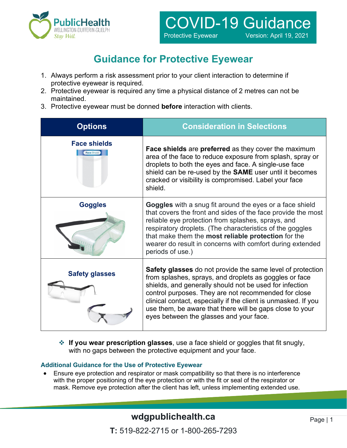

# **Guidance for Protective Eyewear**

- 1. Always perform a risk assessment prior to your client interaction to determine if protective eyewear is required.
- 2. Protective eyewear is required any time a physical distance of 2 metres can not be maintained.
- 3. Protective eyewear must be donned **before** interaction with clients.

| <b>Options</b>                            | <b>Consideration in Selections</b>                                                                                                                                                                                                                                                                                                                                                                               |
|-------------------------------------------|------------------------------------------------------------------------------------------------------------------------------------------------------------------------------------------------------------------------------------------------------------------------------------------------------------------------------------------------------------------------------------------------------------------|
| <b>Face shields</b><br><b>Face Shield</b> | Face shields are preferred as they cover the maximum<br>area of the face to reduce exposure from splash, spray or<br>droplets to both the eyes and face. A single-use face<br>shield can be re-used by the SAME user until it becomes<br>cracked or visibility is compromised. Label your face<br>shield.                                                                                                        |
| <b>Goggles</b>                            | Goggles with a snug fit around the eyes or a face shield<br>that covers the front and sides of the face provide the most<br>reliable eye protection from splashes, sprays, and<br>respiratory droplets. (The characteristics of the goggles<br>that make them the most reliable protection for the<br>wearer do result in concerns with comfort during extended<br>periods of use.)                              |
| <b>Safety glasses</b>                     | Safety glasses do not provide the same level of protection<br>from splashes, sprays, and droplets as goggles or face<br>shields, and generally should not be used for infection<br>control purposes. They are not recommended for close<br>clinical contact, especially if the client is unmasked. If you<br>use them, be aware that there will be gaps close to your<br>eyes between the glasses and your face. |

 **If you wear prescription glasses**, use a face shield or goggles that fit snugly, with no gaps between the protective equipment and your face.

#### **Additional Guidance for the Use of Protective Eyewear**

• Ensure eye protection and respirator or mask compatibility so that there is no interference with the proper positioning of the eye protection or with the fit or seal of the respirator or mask. Remove eye protection after the client has left, unless implementing extended use.

## **wdgpublichealth.ca**